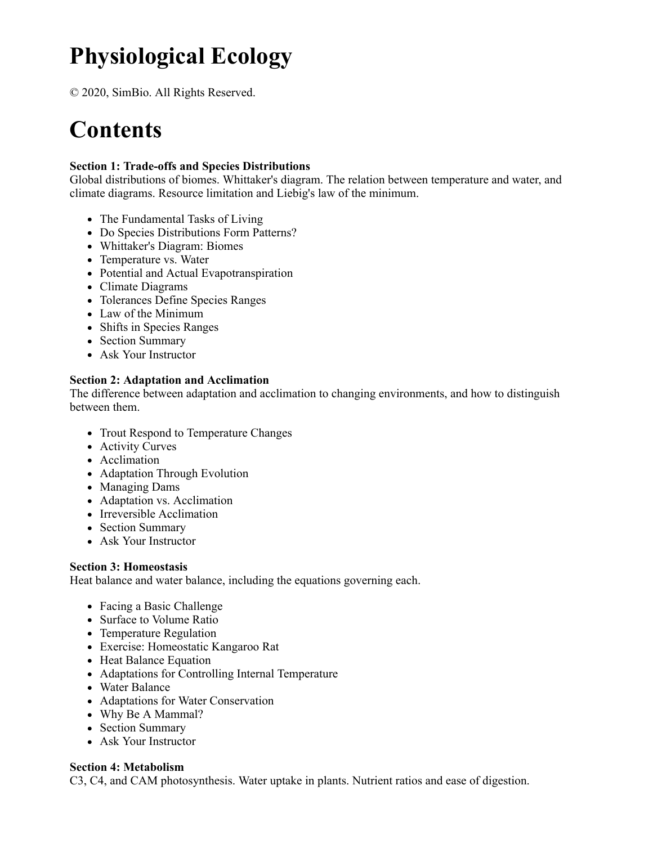# **Physiological Ecology**

© 2020, SimBio. All Rights Reserved.

# **Contents**

### **Section 1: Trade-offs and Species Distributions**

Global distributions of biomes. Whittaker's diagram. The relation between temperature and water, and climate diagrams. Resource limitation and Liebig's law of the minimum.

- The Fundamental Tasks of Living
- Do Species Distributions Form Patterns?
- Whittaker's Diagram: Biomes
- Temperature vs. Water
- Potential and Actual Evapotranspiration
- Climate Diagrams
- Tolerances Define Species Ranges
- Law of the Minimum
- Shifts in Species Ranges
- Section Summary
- Ask Your Instructor

## **Section 2: Adaptation and Acclimation**

The difference between adaptation and acclimation to changing environments, and how to distinguish between them.

- Trout Respond to Temperature Changes
- Activity Curves
- Acclimation
- Adaptation Through Evolution
- Managing Dams
- Adaptation vs. Acclimation
- Irreversible Acclimation
- Section Summary
- Ask Your Instructor

#### **Section 3: Homeostasis**

Heat balance and water balance, including the equations governing each.

- Facing a Basic Challenge
- Surface to Volume Ratio
- Temperature Regulation
- Exercise: Homeostatic Kangaroo Rat
- Heat Balance Equation
- Adaptations for Controlling Internal Temperature
- Water Balance
- Adaptations for Water Conservation
- Why Be A Mammal?
- Section Summary
- Ask Your Instructor

#### **Section 4: Metabolism**

C3, C4, and CAM photosynthesis. Water uptake in plants. Nutrient ratios and ease of digestion.